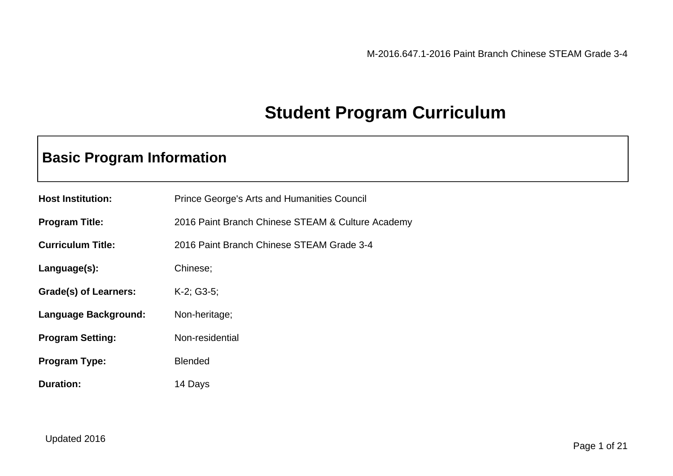# **Student Program Curriculum**

# **Basic Program Information**

| <b>Host Institution:</b>     | <b>Prince George's Arts and Humanities Council</b> |
|------------------------------|----------------------------------------------------|
| <b>Program Title:</b>        | 2016 Paint Branch Chinese STEAM & Culture Academy  |
| <b>Curriculum Title:</b>     | 2016 Paint Branch Chinese STEAM Grade 3-4          |
| Language(s):                 | Chinese;                                           |
| <b>Grade(s) of Learners:</b> | $K-2$ ; G3-5;                                      |
| Language Background:         | Non-heritage;                                      |
| <b>Program Setting:</b>      | Non-residential                                    |
| <b>Program Type:</b>         | <b>Blended</b>                                     |
| <b>Duration:</b>             | 14 Days                                            |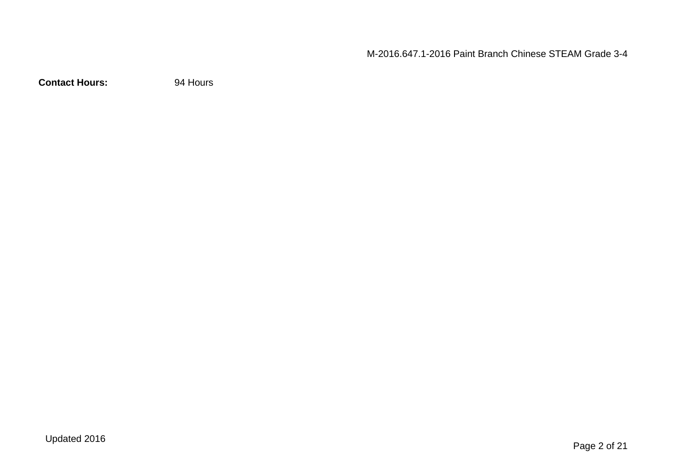**Contact Hours:** 94 Hours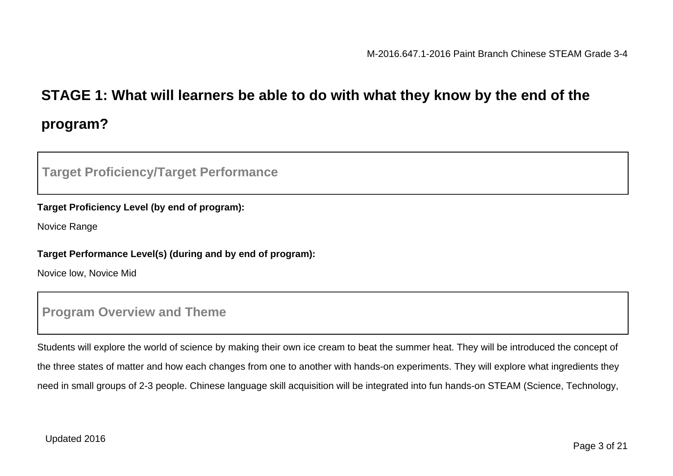# **STAGE 1: What will learners be able to do with what they know by the end of the program?**

## **Target Proficiency/Target Performance**

#### **Target Proficiency Level (by end of program):**

Novice Range

#### **Target Performance Level(s) (during and by end of program):**

Novice low, Novice Mid

### **Program Overview and Theme**

Students will explore the world of science by making their own ice cream to beat the summer heat. They will be introduced the concept of the three states of matter and how each changes from one to another with hands-on experiments. They will explore what ingredients they need in small groups of 2-3 people. Chinese language skill acquisition will be integrated into fun hands-on STEAM (Science, Technology,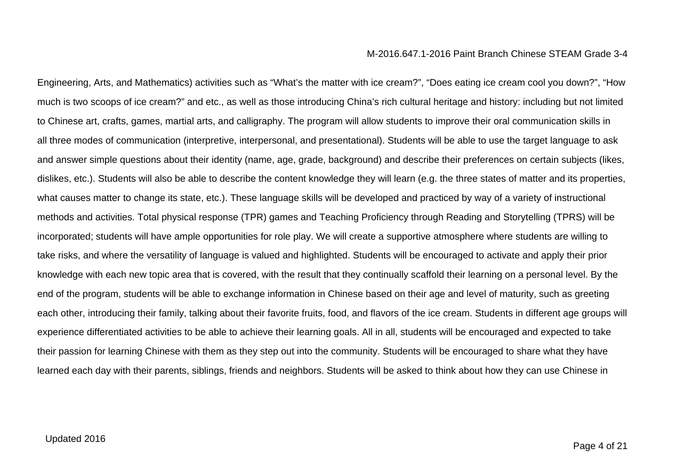Engineering, Arts, and Mathematics) activities such as "What's the matter with ice cream?", "Does eating ice cream cool you down?", "How much is two scoops of ice cream?" and etc., as well as those introducing China's rich cultural heritage and history: including but not limited to Chinese art, crafts, games, martial arts, and calligraphy. The program will allow students to improve their oral communication skills in all three modes of communication (interpretive, interpersonal, and presentational). Students will be able to use the target language to ask and answer simple questions about their identity (name, age, grade, background) and describe their preferences on certain subjects (likes, dislikes, etc.). Students will also be able to describe the content knowledge they will learn (e.g. the three states of matter and its properties, what causes matter to change its state, etc.). These language skills will be developed and practiced by way of a variety of instructional methods and activities. Total physical response (TPR) games and Teaching Proficiency through Reading and Storytelling (TPRS) will be incorporated; students will have ample opportunities for role play. We will create a supportive atmosphere where students are willing to take risks, and where the versatility of language is valued and highlighted. Students will be encouraged to activate and apply their prior knowledge with each new topic area that is covered, with the result that they continually scaffold their learning on a personal level. By the end of the program, students will be able to exchange information in Chinese based on their age and level of maturity, such as greeting each other, introducing their family, talking about their favorite fruits, food, and flavors of the ice cream. Students in different age groups will experience differentiated activities to be able to achieve their learning goals. All in all, students will be encouraged and expected to take their passion for learning Chinese with them as they step out into the community. Students will be encouraged to share what they have learned each day with their parents, siblings, friends and neighbors. Students will be asked to think about how they can use Chinese in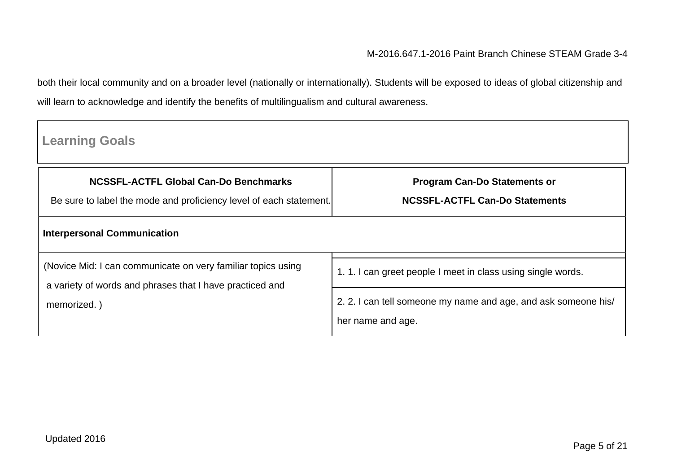both their local community and on a broader level (nationally or internationally). Students will be exposed to ideas of global citizenship and will learn to acknowledge and identify the benefits of multilingualism and cultural awareness.

| <b>Learning Goals</b>                                                                                                    |                                                                                     |  |  |  |
|--------------------------------------------------------------------------------------------------------------------------|-------------------------------------------------------------------------------------|--|--|--|
| <b>NCSSFL-ACTFL Global Can-Do Benchmarks</b><br>Be sure to label the mode and proficiency level of each statement.       | <b>Program Can-Do Statements or</b><br><b>NCSSFL-ACTFL Can-Do Statements</b>        |  |  |  |
| <b>Interpersonal Communication</b>                                                                                       |                                                                                     |  |  |  |
| (Novice Mid: I can communicate on very familiar topics using<br>a variety of words and phrases that I have practiced and | 1.1.1 can greet people I meet in class using single words.                          |  |  |  |
| memorized.)                                                                                                              | 2. 2. I can tell someone my name and age, and ask someone his/<br>her name and age. |  |  |  |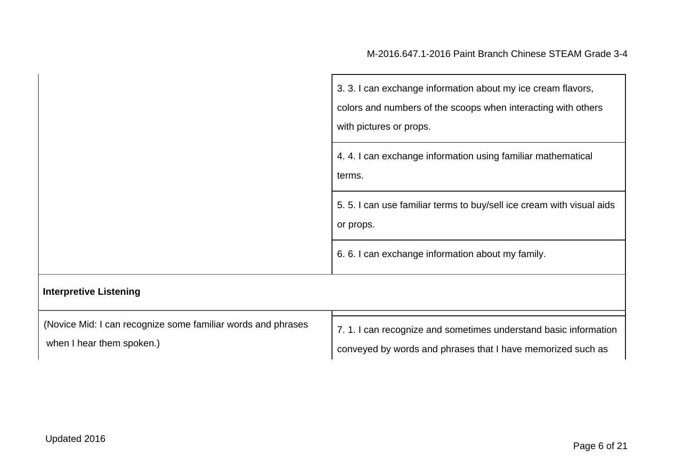|                                                              | 3. 3. I can exchange information about my ice cream flavors,<br>colors and numbers of the scoops when interacting with others<br>with pictures or props. |
|--------------------------------------------------------------|----------------------------------------------------------------------------------------------------------------------------------------------------------|
|                                                              | 4.4.1 can exchange information using familiar mathematical<br>terms.                                                                                     |
|                                                              | 5.5. I can use familiar terms to buy/sell ice cream with visual aids<br>or props.                                                                        |
|                                                              | 6.6.1 can exchange information about my family.                                                                                                          |
| <b>Interpretive Listening</b>                                |                                                                                                                                                          |
| (Novice Mid: I can recognize some familiar words and phrases |                                                                                                                                                          |
|                                                              | $7.4$ $1.22$ $1.22$<br>ومناجعه ومسماعا المتممط المسملمون والمسارية ومستلم ومرمام المسما المستحدث                                                         |

when I hear them spoken.)

7. 1. I can recognize and sometimes understand basic information

conveyed by words and phrases that I have memorized such as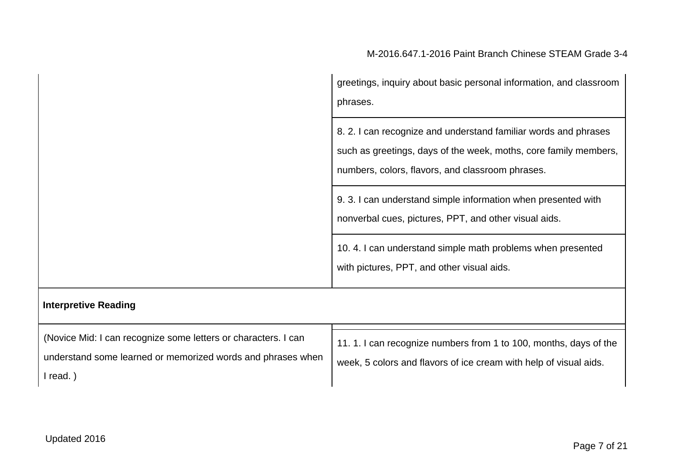| greetings, inquiry about basic personal information, and classroom<br>phrases.                                                                                                        |
|---------------------------------------------------------------------------------------------------------------------------------------------------------------------------------------|
| 8.2.1 can recognize and understand familiar words and phrases<br>such as greetings, days of the week, moths, core family members,<br>numbers, colors, flavors, and classroom phrases. |
| 9.3.1 can understand simple information when presented with<br>nonverbal cues, pictures, PPT, and other visual aids.                                                                  |
| 10.4. I can understand simple math problems when presented<br>with pictures, PPT, and other visual aids.                                                                              |

## **Interpretive Reading**

| (Novice Mid: I can recognize some letters or characters. I can | 11.1.1 can recognize numbers from 1 to 100, months, days of the   |
|----------------------------------------------------------------|-------------------------------------------------------------------|
| understand some learned or memorized words and phrases when    | week, 5 colors and flavors of ice cream with help of visual aids. |
| read.                                                          |                                                                   |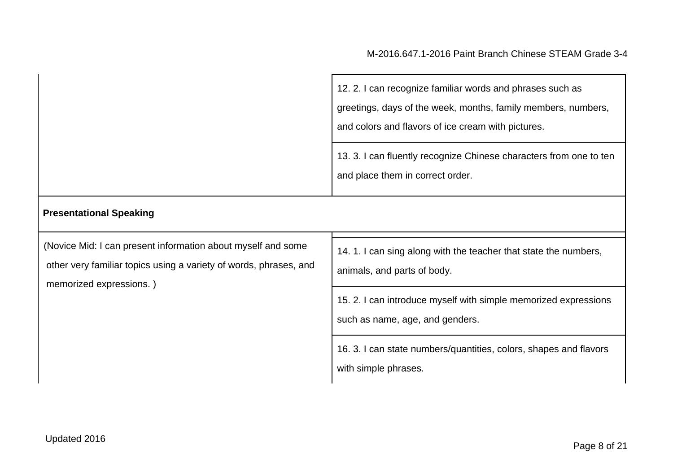| 12. 2. I can recognize familiar words and phrases such as<br>greetings, days of the week, months, family members, numbers,<br>and colors and flavors of ice cream with pictures. |
|----------------------------------------------------------------------------------------------------------------------------------------------------------------------------------|
| 13. 3. I can fluently recognize Chinese characters from one to ten<br>and place them in correct order.                                                                           |

### **Presentational Speaking**

(Novice Mid: I can present information about myself and some other very familiar topics using a variety of words, phrases, and memorized expressions. )

14. 1. I can sing along with the teacher that state the numbers,

animals, and parts of body.

15. 2. I can introduce myself with simple memorized expressions such as name, age, and genders.

16. 3. I can state numbers/quantities, colors, shapes and flavors with simple phrases.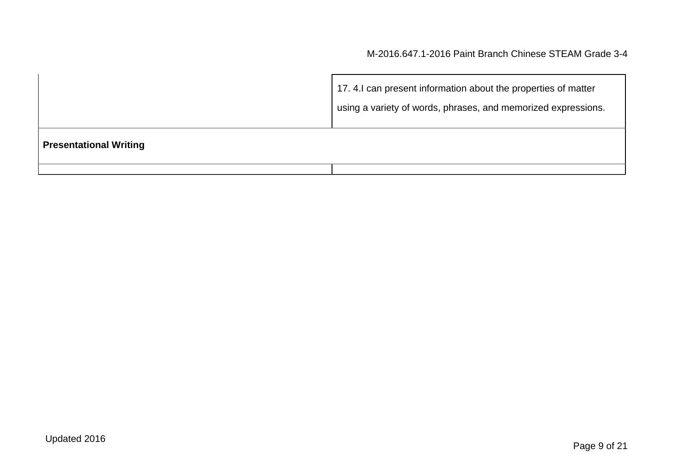|                               | 17. 4.I can present information about the properties of matter<br>using a variety of words, phrases, and memorized expressions. |
|-------------------------------|---------------------------------------------------------------------------------------------------------------------------------|
| <b>Presentational Writing</b> |                                                                                                                                 |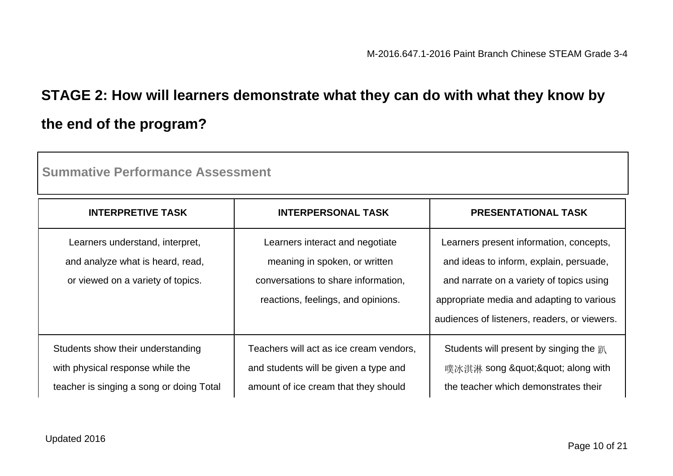# **STAGE 2: How will learners demonstrate what they can do with what they know by the end of the program?**

| <u>Sullillative Feliolillative Assessifielit</u>                                                                  |                                                                                                                                               |                                                                                                                                                                                                                             |  |
|-------------------------------------------------------------------------------------------------------------------|-----------------------------------------------------------------------------------------------------------------------------------------------|-----------------------------------------------------------------------------------------------------------------------------------------------------------------------------------------------------------------------------|--|
| <b>INTERPRETIVE TASK</b>                                                                                          | <b>INTERPERSONAL TASK</b>                                                                                                                     | <b>PRESENTATIONAL TASK</b>                                                                                                                                                                                                  |  |
| Learners understand, interpret,<br>and analyze what is heard, read,<br>or viewed on a variety of topics.          | Learners interact and negotiate<br>meaning in spoken, or written<br>conversations to share information,<br>reactions, feelings, and opinions. | Learners present information, concepts,<br>and ideas to inform, explain, persuade,<br>and narrate on a variety of topics using<br>appropriate media and adapting to various<br>audiences of listeners, readers, or viewers. |  |
| Students show their understanding<br>with physical response while the<br>teacher is singing a song or doing Total | Teachers will act as ice cream vendors,<br>and students will be given a type and<br>amount of ice cream that they should                      | Students will present by singing the 趴<br>噗冰淇淋 song "" along with<br>the teacher which demonstrates their                                                                                                                   |  |

**Summative Performance Assessment**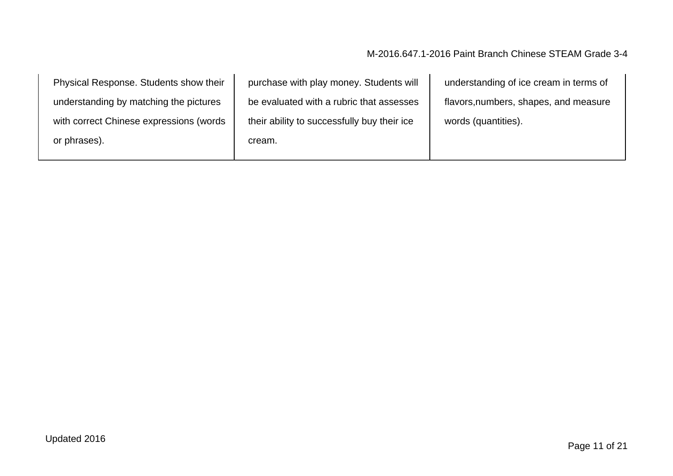| Physical Response. Students show their  | purchase with play money. Students will     | understanding of ice cream in terms of |
|-----------------------------------------|---------------------------------------------|----------------------------------------|
| understanding by matching the pictures  | be evaluated with a rubric that assesses    | flavors, numbers, shapes, and measure  |
| with correct Chinese expressions (words | their ability to successfully buy their ice | words (quantities).                    |
| or phrases).                            | cream.                                      |                                        |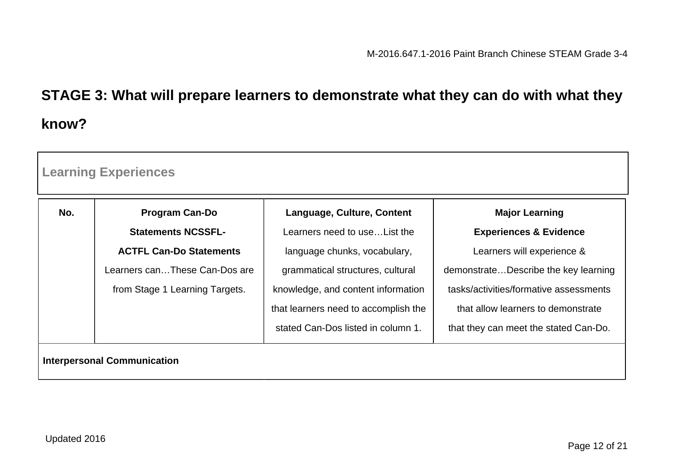# **STAGE 3: What will prepare learners to demonstrate what they can do with what they know?**

| <b>Learning Experiences</b>        |                                |                                      |                                        |
|------------------------------------|--------------------------------|--------------------------------------|----------------------------------------|
| No.                                | <b>Program Can-Do</b>          | Language, Culture, Content           | <b>Major Learning</b>                  |
|                                    | <b>Statements NCSSFL-</b>      | Learners need to use List the        | <b>Experiences &amp; Evidence</b>      |
|                                    | <b>ACTFL Can-Do Statements</b> | language chunks, vocabulary,         | Learners will experience &             |
|                                    | Learners canThese Can-Dos are  | grammatical structures, cultural     | demonstrateDescribe the key learning   |
|                                    | from Stage 1 Learning Targets. | knowledge, and content information   | tasks/activities/formative assessments |
|                                    |                                | that learners need to accomplish the | that allow learners to demonstrate     |
|                                    |                                | stated Can-Dos listed in column 1.   | that they can meet the stated Can-Do.  |
| <b>Interpersonal Communication</b> |                                |                                      |                                        |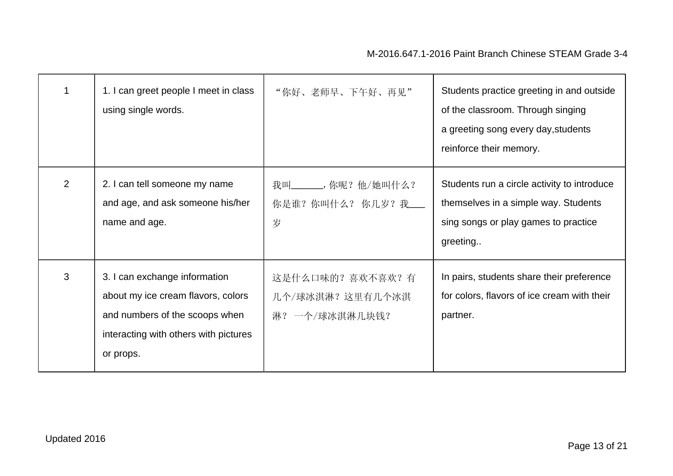|   | 1. I can greet people I meet in class<br>using single words.                                                                                                | "你好、老师早、下午好、再见"                                        | Students practice greeting in and outside<br>of the classroom. Through singing<br>a greeting song every day, students<br>reinforce their memory. |
|---|-------------------------------------------------------------------------------------------------------------------------------------------------------------|--------------------------------------------------------|--------------------------------------------------------------------------------------------------------------------------------------------------|
| 2 | 2. I can tell someone my name<br>and age, and ask someone his/her<br>name and age.                                                                          | 我叫________, 你呢? 他/她叫什么?<br>你是谁?你叫什么?你几岁?我——<br>岁       | Students run a circle activity to introduce<br>themselves in a simple way. Students<br>sing songs or play games to practice<br>greeting          |
| 3 | 3. I can exchange information<br>about my ice cream flavors, colors<br>and numbers of the scoops when<br>interacting with others with pictures<br>or props. | 这是什么口味的? 喜欢不喜欢? 有<br>几个/球冰淇淋?这里有几个冰淇<br>淋? 一个/球冰淇淋几块钱? | In pairs, students share their preference<br>for colors, flavors of ice cream with their<br>partner.                                             |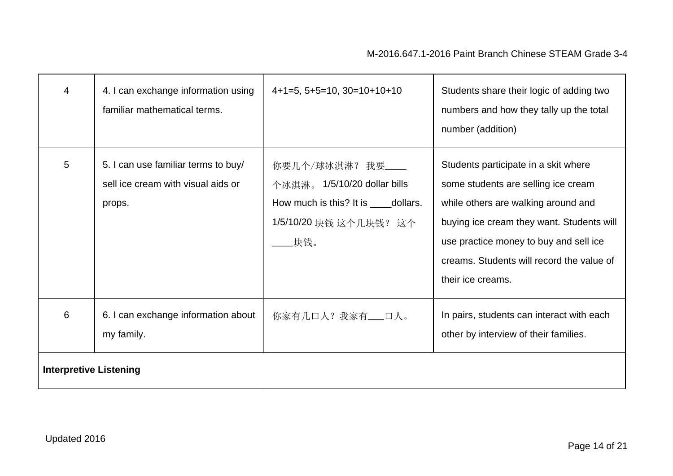| $\overline{4}$                | 4. I can exchange information using<br>familiar mathematical terms.                 | $4+1=5$ , $5+5=10$ , $30=10+10+10$                                                                                           | Students share their logic of adding two<br>numbers and how they tally up the total<br>number (addition)                                                                                                                                                                    |
|-------------------------------|-------------------------------------------------------------------------------------|------------------------------------------------------------------------------------------------------------------------------|-----------------------------------------------------------------------------------------------------------------------------------------------------------------------------------------------------------------------------------------------------------------------------|
| 5                             | 5. I can use familiar terms to buy/<br>sell ice cream with visual aids or<br>props. | 你要几个/球冰淇淋? 我要____<br>个冰淇淋。 1/5/10/20 dollar bills<br>How much is this? It is _____dollars.<br>1/5/10/20 块钱 这个几块钱? 这个<br>_块钱。 | Students participate in a skit where<br>some students are selling ice cream<br>while others are walking around and<br>buying ice cream they want. Students will<br>use practice money to buy and sell ice<br>creams. Students will record the value of<br>their ice creams. |
| 6                             | 6. I can exchange information about<br>my family.                                   | 你家有几口人?我家有——口人。                                                                                                              | In pairs, students can interact with each<br>other by interview of their families.                                                                                                                                                                                          |
| <b>Interpretive Listening</b> |                                                                                     |                                                                                                                              |                                                                                                                                                                                                                                                                             |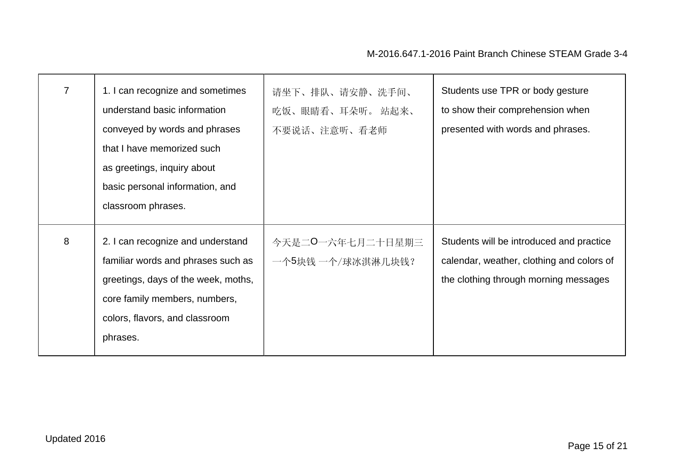| $\overline{7}$ | 1. I can recognize and sometimes<br>understand basic information<br>conveyed by words and phrases<br>that I have memorized such<br>as greetings, inquiry about<br>basic personal information, and<br>classroom phrases. | 请坐下、排队、请安静、洗手间、<br>吃饭、眼睛看、耳朵听。 站起来、<br>不要说话、注意听、看老师 | Students use TPR or body gesture<br>to show their comprehension when<br>presented with words and phrases.                      |
|----------------|-------------------------------------------------------------------------------------------------------------------------------------------------------------------------------------------------------------------------|-----------------------------------------------------|--------------------------------------------------------------------------------------------------------------------------------|
| 8              | 2. I can recognize and understand<br>familiar words and phrases such as<br>greetings, days of the week, moths,<br>core family members, numbers,<br>colors, flavors, and classroom<br>phrases.                           | 今天是二0一六年七月二十日星期三<br>一个5块钱 一个/球冰淇淋几块钱?               | Students will be introduced and practice<br>calendar, weather, clothing and colors of<br>the clothing through morning messages |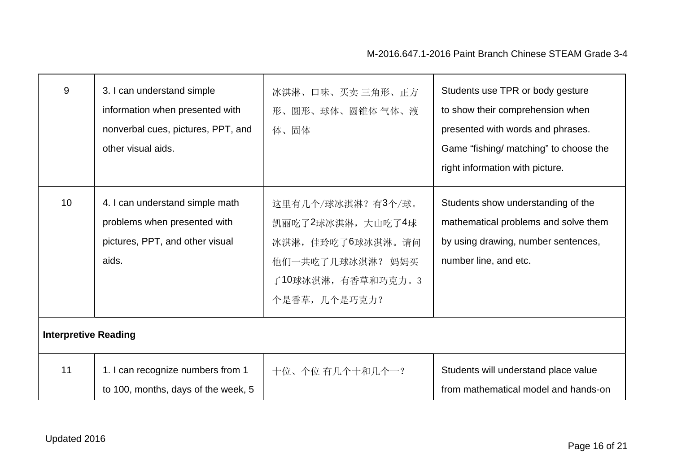| 9                           | 3. I can understand simple<br>information when presented with<br>nonverbal cues, pictures, PPT, and<br>other visual aids. | 冰淇淋、口味、买卖 三角形、正方<br>形、圆形、球体、圆锥体气体、液<br>体、固体                                                                            | Students use TPR or body gesture<br>to show their comprehension when<br>presented with words and phrases.<br>Game "fishing/ matching" to choose the<br>right information with picture. |
|-----------------------------|---------------------------------------------------------------------------------------------------------------------------|------------------------------------------------------------------------------------------------------------------------|----------------------------------------------------------------------------------------------------------------------------------------------------------------------------------------|
| 10 <sup>1</sup>             | 4. I can understand simple math<br>problems when presented with<br>pictures, PPT, and other visual<br>aids.               | 这里有几个/球冰淇淋? 有3个/球。<br>凯丽吃了2球冰淇淋,大山吃了4球<br>冰淇淋, 佳玲吃了6球冰淇淋。请问<br>他们一共吃了几球冰淇淋? 妈妈买<br>了10球冰淇淋, 有香草和巧克力。3<br>个是香草, 几个是巧克力? | Students show understanding of the<br>mathematical problems and solve them<br>by using drawing, number sentences,<br>number line, and etc.                                             |
| <b>Interpretive Reading</b> |                                                                                                                           |                                                                                                                        |                                                                                                                                                                                        |
| 11                          | 1. I can recognize numbers from 1<br>to 100, months, days of the week, 5                                                  | 十位、个位 有几个十和几个一?                                                                                                        | Students will understand place value<br>from mathematical model and hands-on                                                                                                           |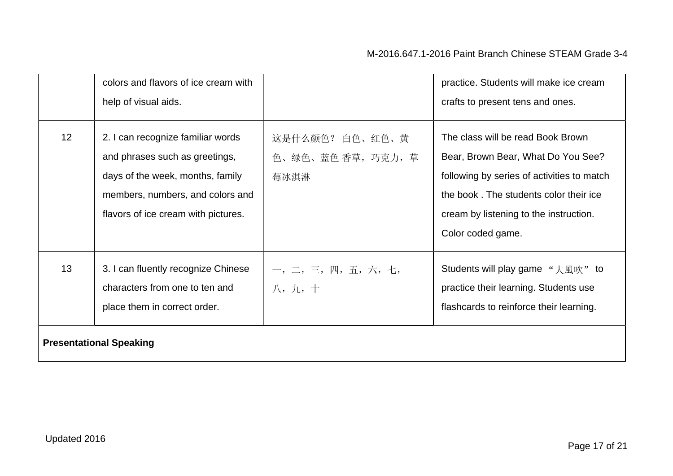|    | colors and flavors of ice cream with<br>help of visual aids.                                                                                                                       |                                             | practice. Students will make ice cream<br>crafts to present tens and ones.                                                                                                                                                     |
|----|------------------------------------------------------------------------------------------------------------------------------------------------------------------------------------|---------------------------------------------|--------------------------------------------------------------------------------------------------------------------------------------------------------------------------------------------------------------------------------|
| 12 | 2. I can recognize familiar words<br>and phrases such as greetings,<br>days of the week, months, family<br>members, numbers, and colors and<br>flavors of ice cream with pictures. | 这是什么颜色? 白色、红色、黄<br>色、绿色、蓝色 香草,巧克力,草<br>莓冰淇淋 | The class will be read Book Brown<br>Bear, Brown Bear, What Do You See?<br>following by series of activities to match<br>the book. The students color their ice<br>cream by listening to the instruction.<br>Color coded game. |
| 13 | 3. I can fluently recognize Chinese<br>characters from one to ten and<br>place them in correct order.<br><b>Presentational Speaking</b>                                            | 一, 二, 三, 四, 五, 六, 七,<br>八,九,十               | Students will play game "大風吹" to<br>practice their learning. Students use<br>flashcards to reinforce their learning.                                                                                                           |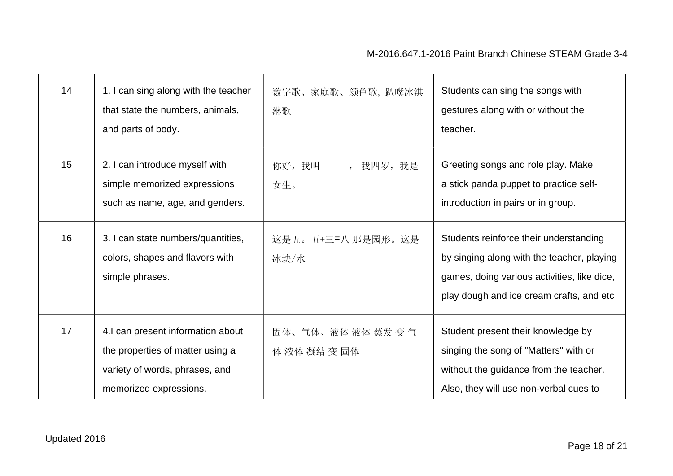| 14 | 1. I can sing along with the teacher<br>that state the numbers, animals,<br>and parts of body.                                    | 数字歌、家庭歌、颜色歌, 趴噗冰淇<br>淋歌            | Students can sing the songs with<br>gestures along with or without the<br>teacher.                                                                                              |
|----|-----------------------------------------------------------------------------------------------------------------------------------|------------------------------------|---------------------------------------------------------------------------------------------------------------------------------------------------------------------------------|
| 15 | 2. I can introduce myself with<br>simple memorized expressions<br>such as name, age, and genders.                                 | 你好,我叫_______,我四岁,我是<br>女生。         | Greeting songs and role play. Make<br>a stick panda puppet to practice self-<br>introduction in pairs or in group.                                                              |
| 16 | 3. I can state numbers/quantities,<br>colors, shapes and flavors with<br>simple phrases.                                          | 这是五。五+三=八 那是园形。这是<br>冰块/水          | Students reinforce their understanding<br>by singing along with the teacher, playing<br>games, doing various activities, like dice,<br>play dough and ice cream crafts, and etc |
| 17 | 4.I can present information about<br>the properties of matter using a<br>variety of words, phrases, and<br>memorized expressions. | 固体、气体、液体 液体 蒸发 变 气<br>体 液体 凝结 变 固体 | Student present their knowledge by<br>singing the song of "Matters" with or<br>without the guidance from the teacher.<br>Also, they will use non-verbal cues to                 |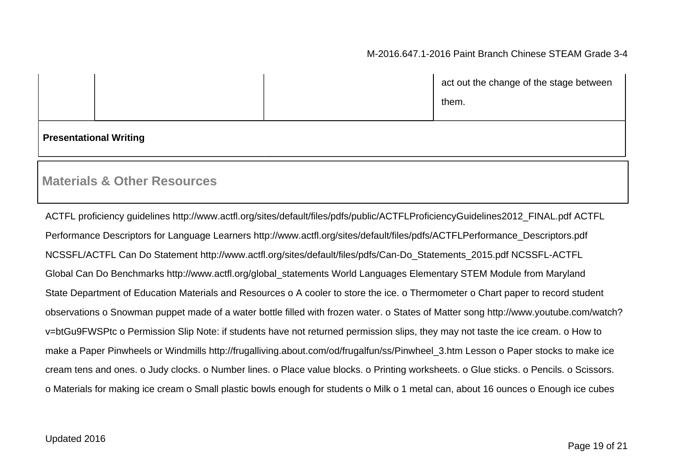|                               | act out the change of the stage between<br>them. |
|-------------------------------|--------------------------------------------------|
| <b>Presentational Writing</b> |                                                  |

### **Materials & Other Resources**

ACTFL proficiency guidelines http://www.actfl.org/sites/default/files/pdfs/public/ACTFLProficiencyGuidelines2012\_FINAL.pdf ACTFL Performance Descriptors for Language Learners http://www.actfl.org/sites/default/files/pdfs/ACTFLPerformance\_Descriptors.pdf NCSSFL/ACTFL Can Do Statement http://www.actfl.org/sites/default/files/pdfs/Can-Do\_Statements\_2015.pdf NCSSFL-ACTFL Global Can Do Benchmarks http://www.actfl.org/global\_statements World Languages Elementary STEM Module from Maryland State Department of Education Materials and Resources o A cooler to store the ice. o Thermometer o Chart paper to record student observations o Snowman puppet made of a water bottle filled with frozen water. o States of Matter song http://www.youtube.com/watch? v=btGu9FWSPtc o Permission Slip Note: if students have not returned permission slips, they may not taste the ice cream. o How to make a Paper Pinwheels or Windmills http://frugalliving.about.com/od/frugalfun/ss/Pinwheel\_3.htm Lesson o Paper stocks to make ice cream tens and ones. o Judy clocks. o Number lines. o Place value blocks. o Printing worksheets. o Glue sticks. o Pencils. o Scissors. o Materials for making ice cream o Small plastic bowls enough for students o Milk o 1 metal can, about 16 ounces o Enough ice cubes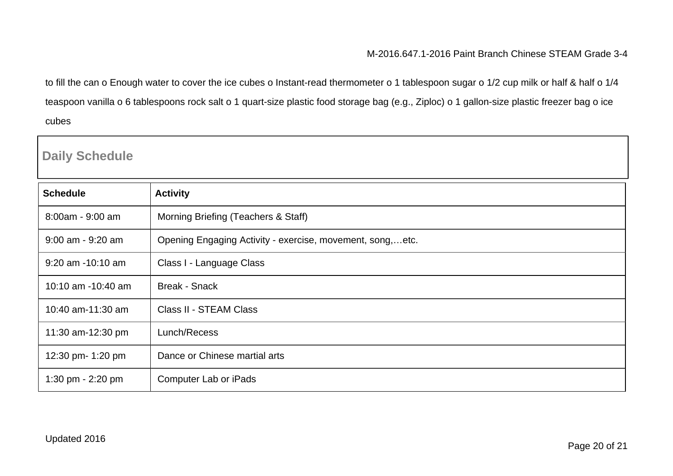to fill the can o Enough water to cover the ice cubes o Instant-read thermometer o 1 tablespoon sugar o 1/2 cup milk or half & half o 1/4 teaspoon vanilla o 6 tablespoons rock salt o 1 quart-size plastic food storage bag (e.g., Ziploc) o 1 gallon-size plastic freezer bag o ice cubes

| <b>Daily Schedule</b> |                                                           |  |
|-----------------------|-----------------------------------------------------------|--|
| <b>Schedule</b>       | <b>Activity</b>                                           |  |
| 8:00am - 9:00 am      | Morning Briefing (Teachers & Staff)                       |  |
| $9:00$ am - $9:20$ am | Opening Engaging Activity - exercise, movement, song,etc. |  |
| 9:20 am -10:10 am     | Class I - Language Class                                  |  |
| 10:10 am -10:40 am    | <b>Break - Snack</b>                                      |  |
| 10:40 am-11:30 am     | <b>Class II - STEAM Class</b>                             |  |
| 11:30 am-12:30 pm     | Lunch/Recess                                              |  |
| 12:30 pm- 1:20 pm     | Dance or Chinese martial arts                             |  |
| 1:30 pm - $2:20$ pm   | Computer Lab or iPads                                     |  |